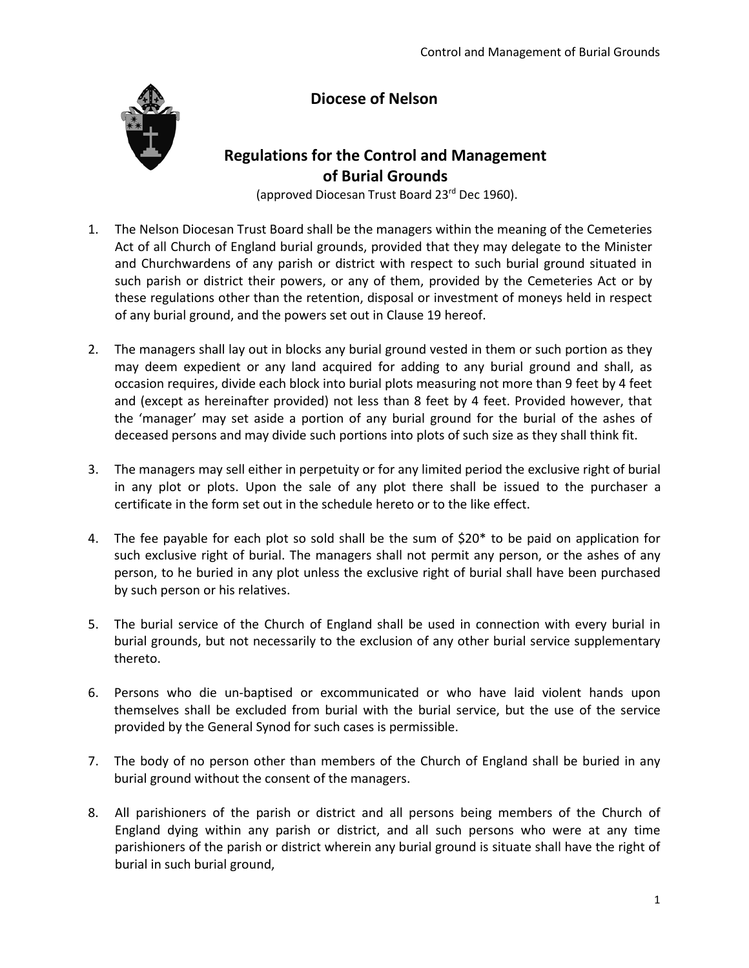## **Diocese of Nelson**



## **Regulations for the Control and Management of Burial Grounds**

(approved Diocesan Trust Board 23rd Dec 1960).

- 1. The Nelson Diocesan Trust Board shall be the managers within the meaning of the Cemeteries Act of all Church of England burial grounds, provided that they may delegate to the Minister and Churchwardens of any parish or district with respect to such burial ground situated in such parish or district their powers, or any of them, provided by the Cemeteries Act or by these regulations other than the retention, disposal or investment of moneys held in respect of any burial ground, and the powers set out in Clause 19 hereof.
- 2. The managers shall lay out in blocks any burial ground vested in them or such portion as they may deem expedient or any land acquired for adding to any burial ground and shall, as occasion requires, divide each block into burial plots measuring not more than 9 feet by 4 feet and (except as hereinafter provided) not less than 8 feet by 4 feet. Provided however, that the 'manager' may set aside a portion of any burial ground for the burial of the ashes of deceased persons and may divide such portions into plots of such size as they shall think fit.
- 3. The managers may sell either in perpetuity or for any limited period the exclusive right of burial in any plot or plots. Upon the sale of any plot there shall be issued to the purchaser a certificate in the form set out in the schedule hereto or to the like effect.
- 4. The fee payable for each plot so sold shall be the sum of \$20\* to be paid on application for such exclusive right of burial. The managers shall not permit any person, or the ashes of any person, to he buried in any plot unless the exclusive right of burial shall have been purchased by such person or his relatives.
- 5. The burial service of the Church of England shall be used in connection with every burial in burial grounds, but not necessarily to the exclusion of any other burial service supplementary thereto.
- 6. Persons who die un-baptised or excommunicated or who have laid violent hands upon themselves shall be excluded from burial with the burial service, but the use of the service provided by the General Synod for such cases is permissible.
- 7. The body of no person other than members of the Church of England shall be buried in any burial ground without the consent of the managers.
- 8. All parishioners of the parish or district and all persons being members of the Church of England dying within any parish or district, and all such persons who were at any time parishioners of the parish or district wherein any burial ground is situate shall have the right of burial in such burial ground,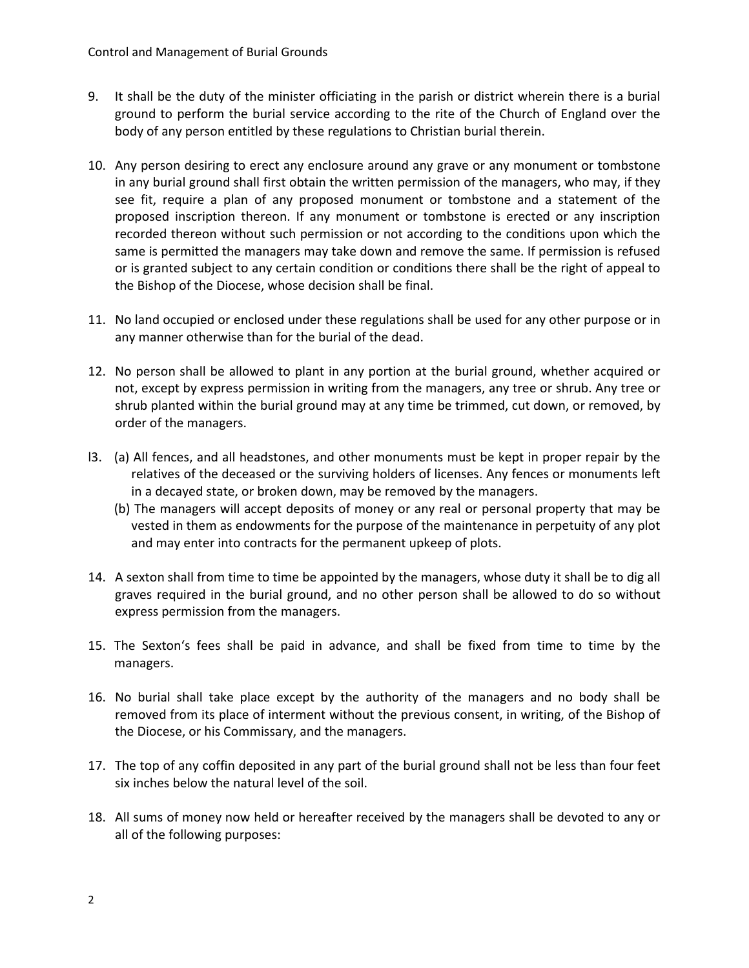- 9. It shall be the duty of the minister officiating in the parish or district wherein there is a burial ground to perform the burial service according to the rite of the Church of England over the body of any person entitled by these regulations to Christian burial therein.
- 10. Any person desiring to erect any enclosure around any grave or any monument or tombstone in any burial ground shall first obtain the written permission of the managers, who may, if they see fit, require a plan of any proposed monument or tombstone and a statement of the proposed inscription thereon. If any monument or tombstone is erected or any inscription recorded thereon without such permission or not according to the conditions upon which the same is permitted the managers may take down and remove the same. If permission is refused or is granted subject to any certain condition or conditions there shall be the right of appeal to the Bishop of the Diocese, whose decision shall be final.
- 11. No land occupied or enclosed under these regulations shall be used for any other purpose or in any manner otherwise than for the burial of the dead.
- 12. No person shall be allowed to plant in any portion at the burial ground, whether acquired or not, except by express permission in writing from the managers, any tree or shrub. Any tree or shrub planted within the burial ground may at any time be trimmed, cut down, or removed, by order of the managers.
- l3. (a) All fences, and all headstones, and other monuments must be kept in proper repair by the relatives of the deceased or the surviving holders of licenses. Any fences or monuments left in a decayed state, or broken down, may be removed by the managers.
	- (b) The managers will accept deposits of money or any real or personal property that may be vested in them as endowments for the purpose of the maintenance in perpetuity of any plot and may enter into contracts for the permanent upkeep of plots.
- 14. A sexton shall from time to time be appointed by the managers, whose duty it shall be to dig all graves required in the burial ground, and no other person shall be allowed to do so without express permission from the managers.
- 15. The Sexton's fees shall be paid in advance, and shall be fixed from time to time by the managers.
- 16. No burial shall take place except by the authority of the managers and no body shall be removed from its place of interment without the previous consent, in writing, of the Bishop of the Diocese, or his Commissary, and the managers.
- 17. The top of any coffin deposited in any part of the burial ground shall not be less than four feet six inches below the natural level of the soil.
- 18. All sums of money now held or hereafter received by the managers shall be devoted to any or all of the following purposes: